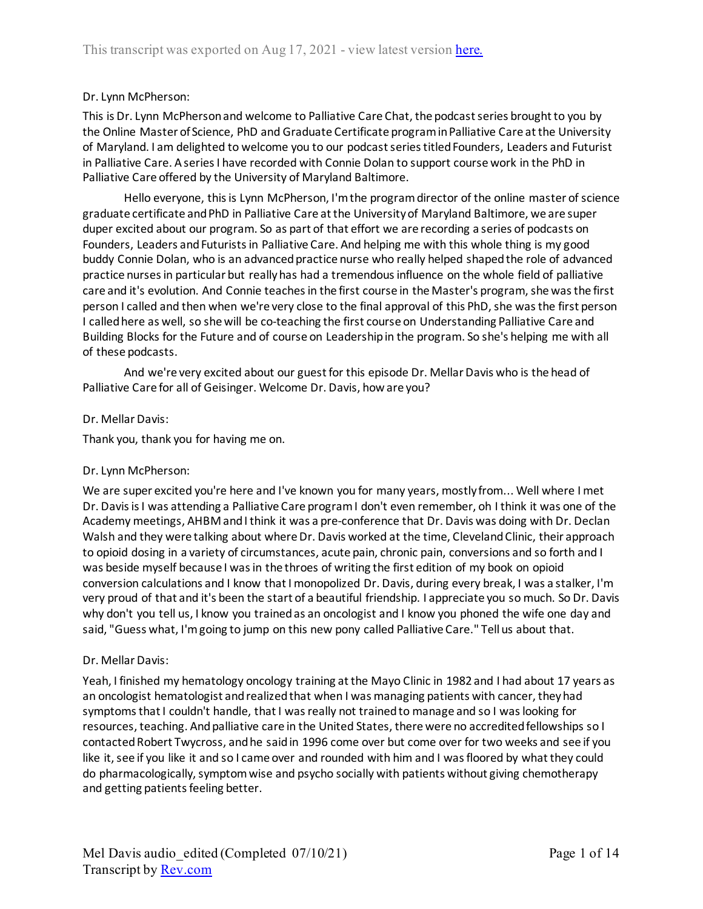## Dr. Lynn McPherson:

This is Dr. Lynn McPherson and welcome to Palliative Care Chat, the podcast series brought to you by the Online Master of Science, PhD and Graduate Certificate program in Palliative Care at the University of Maryland. I am delighted to welcome you to our podcast series titled Founders, Leaders and Futurist in Palliative Care. A series I have recorded with Connie Dolan to support course work in the PhD in Palliative Care offered by the University of Maryland Baltimore.

Hello everyone, this is Lynn McPherson, I'm the program director of the online master of science graduate certificate and PhD in Palliative Care at the University of Maryland Baltimore, we are super duper excited about our program. So as part of that effort we are recording a series of podcasts on Founders, Leaders and Futurists in Palliative Care. And helping me with this whole thing is my good buddy Connie Dolan, who is an advanced practice nurse who really helped shaped the role of advanced practice nurses in particular but really has had a tremendous influence on the whole field of palliative care and it's evolution. And Connie teaches in the first course in the Master's program, she was the first person I called and then when we're very close to the final approval of this PhD, she was the first person I called here as well, so she will be co-teaching the first course on Understanding Palliative Care and Building Blocks for the Future and of course on Leadership in the program. So she's helping me with all of these podcasts.

And we're very excited about our guest for this episode Dr. Mellar Davis who is the head of Palliative Care for all of Geisinger. Welcome Dr. Davis, how are you?

## Dr. Mellar Davis:

Thank you, thank you for having me on.

## Dr. Lynn McPherson:

We are super excited you're here and I've known you for many years, mostly from... Well where I met Dr. Davis is I was attending a Palliative Care program I don't even remember, oh I think it was one of the Academy meetings, AHBM and I think it was a pre-conference that Dr. Davis was doing with Dr. Declan Walsh and they were talking about where Dr. Davis worked at the time, Cleveland Clinic, their approach to opioid dosing in a variety of circumstances, acute pain, chronic pain, conversions and so forth and I was beside myself because I was in the throes of writing the first edition of my book on opioid conversion calculations and I know that I monopolized Dr. Davis, during every break, I was a stalker, I'm very proud of that and it's been the start of a beautiful friendship. I appreciate you so much. So Dr. Davis why don't you tell us, I know you trained as an oncologist and I know you phoned the wife one day and said, "Guess what, I'm going to jump on this new pony called Palliative Care." Tellus about that.

## Dr. Mellar Davis:

Yeah, I finished my hematology oncology training at the Mayo Clinic in 1982 and I had about 17 years as an oncologist hematologist and realized that when I was managing patients with cancer, they had symptoms that I couldn't handle, that I was really not trained to manage and so I was looking for resources, teaching. And palliative care in the United States, there were no accredited fellowships so I contacted Robert Twycross, and he said in 1996 come over but come over for two weeks and see if you like it, see if you like it and so I came over and rounded with him and I was floored by what they could do pharmacologically, symptom wise and psycho socially with patients without giving chemotherapy and getting patients feeling better.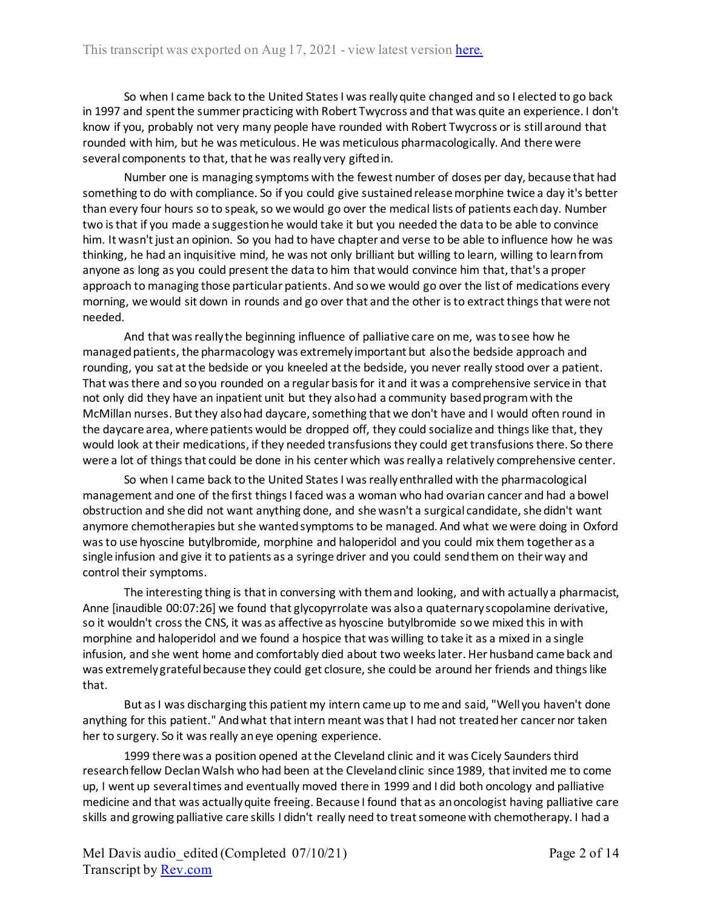So when I came back to the United States I was really quite changed and so I elected to go back in 1997 and spent the summer practicing with Robert Twycross and that was quite an experience. I don't know if you, probably not very many people have rounded with Robert Twycross or is still around that rounded with him, but he was meticulous. He was meticulous pharmacologically. And there were several components to that, that he was really very gifted in.

Number one is managing symptoms with the fewest number of doses per day, because that had something to do with compliance. So if you could give sustained release morphine twice a day it's better than every four hours so to speak, so we would go over the medical lists of patients each day. Number two is that if you made a suggestion he would take it but you needed the data to be able to convince him. It wasn't just an opinion. So you had to have chapter and verse to be able to influence how he was thinking, he had an inquisitive mind, he was not only brilliant but willing to learn, willing to learn from anyone as long as you could present the data to him that would convince him that, that's a proper approach to managing those particular patients. And so we would go over the list of medications every morning, we would sit down in rounds and go over that and the other is to extract things that were not needed.

And that was really the beginning influence of palliative care on me, was to see how he managed patients, the pharmacology was extremely important but also the bedside approach and rounding, you sat at the bedside or you kneeled at the bedside, you never really stood over a patient. That was there and so you rounded on a regular basis for it and it was a comprehensive service in that not only did they have an inpatient unit but they also had a community based program with the McMillan nurses. But they also had daycare, something that we don't have and I would often round in the daycare area, where patients would be dropped off, they could socialize and things like that, they would look at their medications, if they needed transfusions they could get transfusions there. So there were a lot of things that could be done in his center which was really a relatively comprehensive center.

So when I came back to the United States I was really enthralled with the pharmacological management and one of the first things I faced was a woman who had ovarian cancer and had a bowel obstruction and she did not want anything done, and she wasn't a surgical candidate, she didn't want anymore chemotherapies but she wanted symptoms to be managed. And what we were doing in Oxford was to use hyoscine butylbromide, morphine and haloperidol and you could mix them together as a single infusion and give it to patients as a syringe driver and you could send them on their way and control their symptoms.

The interesting thing is that in conversing with them and looking, and with actually a pharmacist, Anne [inaudible 00:07:26] we found that glycopyrrolate was also a quaternary scopolamine derivative, so it wouldn't cross the CNS, it was as affective as hyoscine butylbromide so we mixed this in with morphine and haloperidol and we found a hospice that was willing to take it as a mixed in a single infusion, and she went home and comfortably died about two weeks later. Her husband came back and was extremely grateful because they could get closure, she could be around her friends and things like that.

But as I was discharging this patient my intern came up to me and said, "Well you haven't done anything for this patient." And what that intern meant was that I had not treated her cancer nor taken her to surgery. So it was really an eye opening experience.

1999 there was a position opened at the Cleveland clinic and it was Cicely Saunders third research fellow Declan Walsh who had been at the Cleveland clinic since 1989, that invited me to come up, I went up several times and eventually moved there in 1999 and I did both oncology and palliative medicine and that was actually quite freeing. Because I found that as an oncologist having palliative care skills and growing palliative care skills I didn't really need to treat someone with chemotherapy. I had a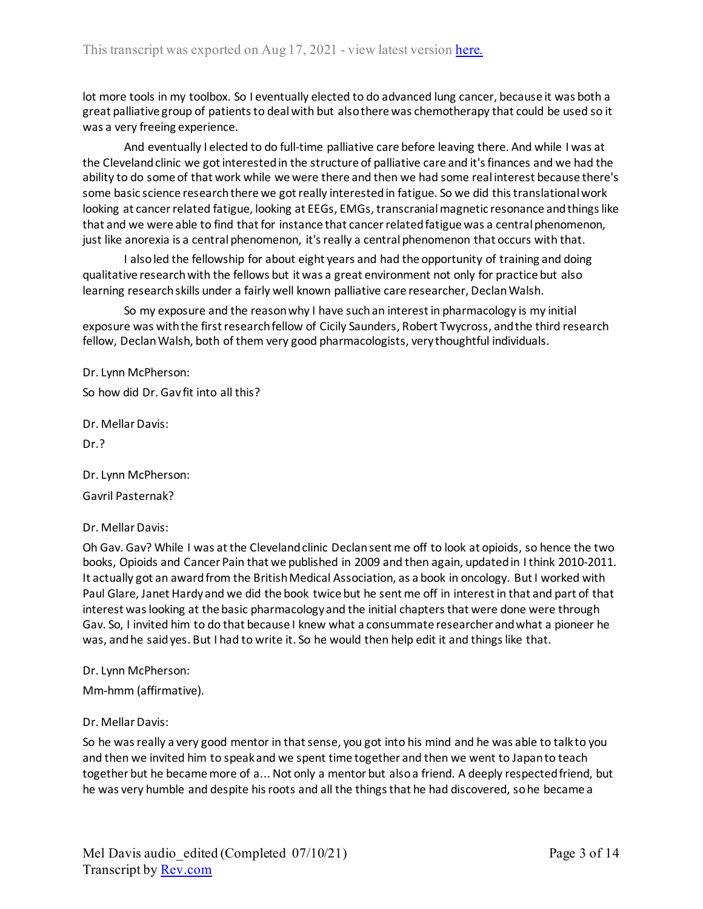lot more tools in my toolbox. So I eventually elected to do advanced lung cancer, because it was both a great palliative group of patients to deal with but also there was chemotherapy that could be used so it was a very freeing experience.

And eventually I elected to do full-time palliative care before leaving there. And while I was at the Cleveland clinic we got interested in the structure of palliative care and it's finances and we had the ability to do some of that work while we were there and then we had some real interest because there's some basic science research there we got really interested in fatigue. So we did this translational work looking at cancer related fatigue, looking at EEGs, EMGs, transcranial magnetic resonance and things like that and we were able to find that for instance that cancer related fatigue was a central phenomenon, just like anorexia is a central phenomenon, it's really a central phenomenon that occurs with that.

I also led the fellowship for about eight years and had the opportunity of training and doing qualitative research with the fellows but it was a great environment not only for practice but also learning research skills under a fairly well known palliative care researcher, Declan Walsh.

So my exposure and the reason why I have such an interest in pharmacology is my initial exposure was with the first research fellow of Cicily Saunders, Robert Twycross, and the third research fellow, Declan Walsh, both of them very good pharmacologists, very thoughtful individuals.

Dr. Lynn McPherson: So how did Dr. Gav fit into all this?

Dr. Mellar Davis:

Dr.?

Dr. Lynn McPherson:

Gavril Pasternak?

Dr. Mellar Davis:

Oh Gav. Gav? While I was at the Cleveland clinic Declan sent me off to look at opioids, so hence the two books, Opioids and Cancer Pain that we published in 2009 and then again, updated in I think 2010-2011. It actually got an award from the British Medical Association, as a book in oncology. But I worked with Paul Glare, Janet Hardy and we did the book twice but he sent me off in interest in that and part of that interest was looking at the basic pharmacology and the initial chapters that were done were through Gav. So, I invited him to do that because I knew what a consummate researcher and what a pioneer he was, and he said yes. But I had to write it. So he would then help edit it and things like that.

Dr. Lynn McPherson:

Mm-hmm (affirmative).

## Dr. Mellar Davis:

So he was really a very good mentor in that sense, you got into his mind and he was able to talk to you and then we invited him to speak and we spent time together and then we went to Japan to teach together but he became more of a... Not only a mentor but also a friend. A deeply respected friend, but he was very humble and despite his roots and all the things that he had discovered, so he became a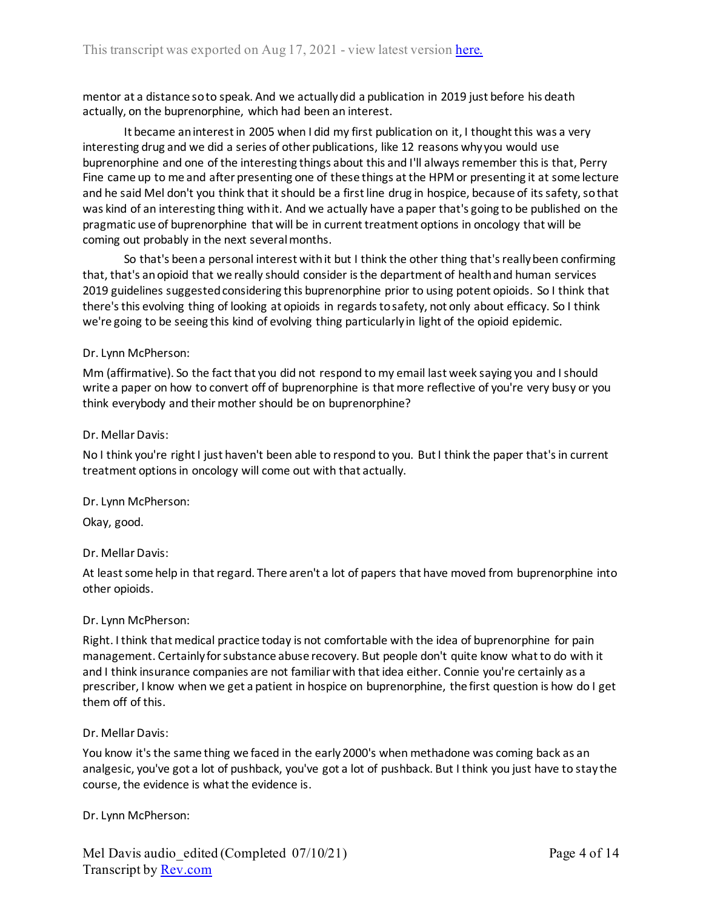mentor at a distance so to speak. And we actually did a publication in 2019 just before his death actually, on the buprenorphine, which had been an interest.

It became an interest in 2005 when I did my first publication on it, I thought this was a very interesting drug and we did a series of other publications, like 12 reasons why you would use buprenorphine and one of the interesting things about this and I'll always remember this is that, Perry Fine came up to me and after presenting one of these things at the HPM or presenting it at some lecture and he said Mel don't you think that it should be a first line drug in hospice, because of its safety, so that was kind of an interesting thing with it. And we actually have a paper that's going to be published on the pragmatic use of buprenorphine that will be in current treatment options in oncology that will be coming out probably in the next several months.

So that's been a personal interest with it but I think the other thing that's really been confirming that, that's an opioid that we really should consider is the department of health and human services 2019 guidelines suggested considering this buprenorphine prior to using potent opioids. So I think that there's this evolving thing of looking at opioids in regards to safety, not only about efficacy. So I think we're going to be seeing this kind of evolving thing particularly in light of the opioid epidemic.

## Dr. Lynn McPherson:

Mm (affirmative). So the fact that you did not respond to my email last week saying you and I should write a paper on how to convert off of buprenorphine is that more reflective of you're very busy or you think everybody and their mother should be on buprenorphine?

## Dr. Mellar Davis:

No I think you're right I just haven't been able to respond to you. But I think the paper that's in current treatment options in oncology will come out with that actually.

Dr. Lynn McPherson:

Okay, good.

Dr. Mellar Davis:

At least some help in that regard. There aren't a lot of papers that have moved from buprenorphine into other opioids.

## Dr. Lynn McPherson:

Right. I think that medical practice today is not comfortable with the idea of buprenorphine for pain management. Certainly for substance abuse recovery. But people don't quite know what to do with it and I think insurance companies are not familiar with that idea either. Connie you're certainly as a prescriber, I know when we get a patient in hospice on buprenorphine, the first question is how do I get them off of this.

## Dr. Mellar Davis:

You know it's the same thing we faced in the early 2000's when methadone was coming back as an analgesic, you've got a lot of pushback, you've got a lot of pushback. But I think you just have to stay the course, the evidence is what the evidence is.

Dr. Lynn McPherson: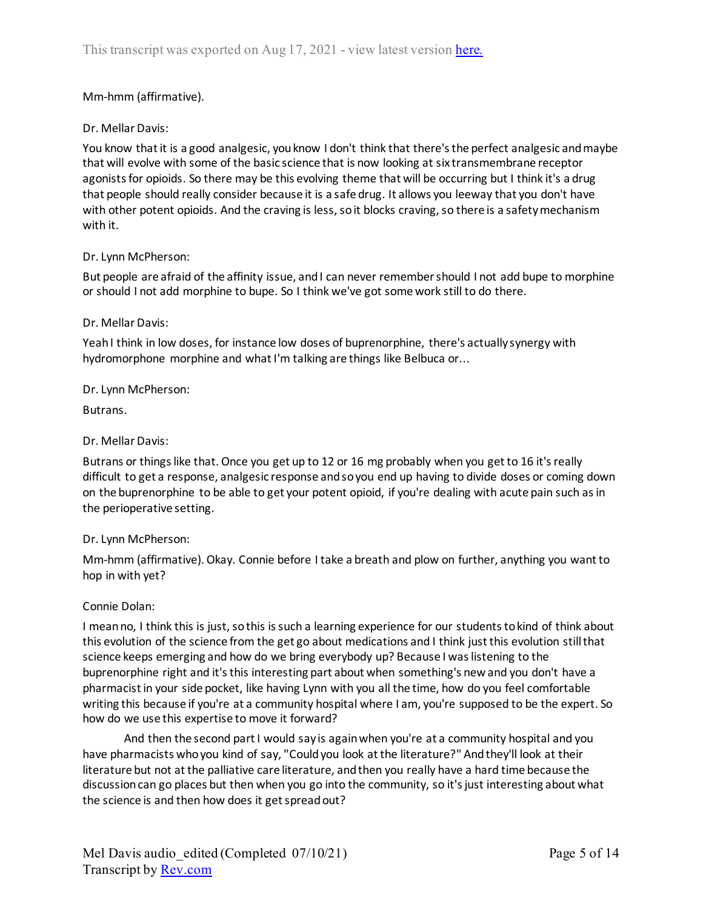## Mm-hmm (affirmative).

## Dr. Mellar Davis:

You know that it is a good analgesic, you know I don't think that there's the perfect analgesic and maybe that will evolve with some of the basic science that is now looking at six transmembrane receptor agonists for opioids. So there may be this evolving theme that will be occurring but I think it's a drug that people should really consider because it is a safe drug. It allows you leeway that you don't have with other potent opioids. And the craving is less, so it blocks craving, so there is a safety mechanism with it.

#### Dr. Lynn McPherson:

But people are afraid of the affinity issue, and I can never remember should I not add bupe to morphine or should I not add morphine to bupe. So I think we've got some work still to do there.

#### Dr. Mellar Davis:

Yeah I think in low doses, for instance low doses of buprenorphine, there's actually synergy with hydromorphone morphine and what I'm talking are things like Belbuca or...

#### Dr. Lynn McPherson:

Butrans.

#### Dr. Mellar Davis:

Butrans or things like that. Once you get up to 12 or 16 mg probably when you get to 16 it's really difficult to get a response, analgesic response and so you end up having to divide doses or coming down on the buprenorphine to be able to get your potent opioid, if you're dealing with acute pain such as in the perioperative setting.

## Dr. Lynn McPherson:

Mm-hmm (affirmative). Okay. Connie before I take a breath and plow on further, anything you want to hop in with yet?

## Connie Dolan:

I mean no, I think this is just, so this is such a learning experience for our students to kind of think about this evolution of the science from the get go about medications and I think just this evolution still that science keeps emerging and how do we bring everybody up? Because I was listening to the buprenorphine right and it's this interesting part about when something's new and you don't have a pharmacist in your side pocket, like having Lynn with you all the time, how do you feel comfortable writing this because if you're at a community hospital where I am, you're supposed to be the expert. So how do we use this expertise to move it forward?

And then the second part I would say is again when you're at a community hospital and you have pharmacists who you kind of say, "Could you look at the literature?" And they'll look at their literature but not at the palliative care literature, and then you really have a hard time because the discussion can go places but then when you go into the community, so it's just interesting about what the science is and then how does it get spread out?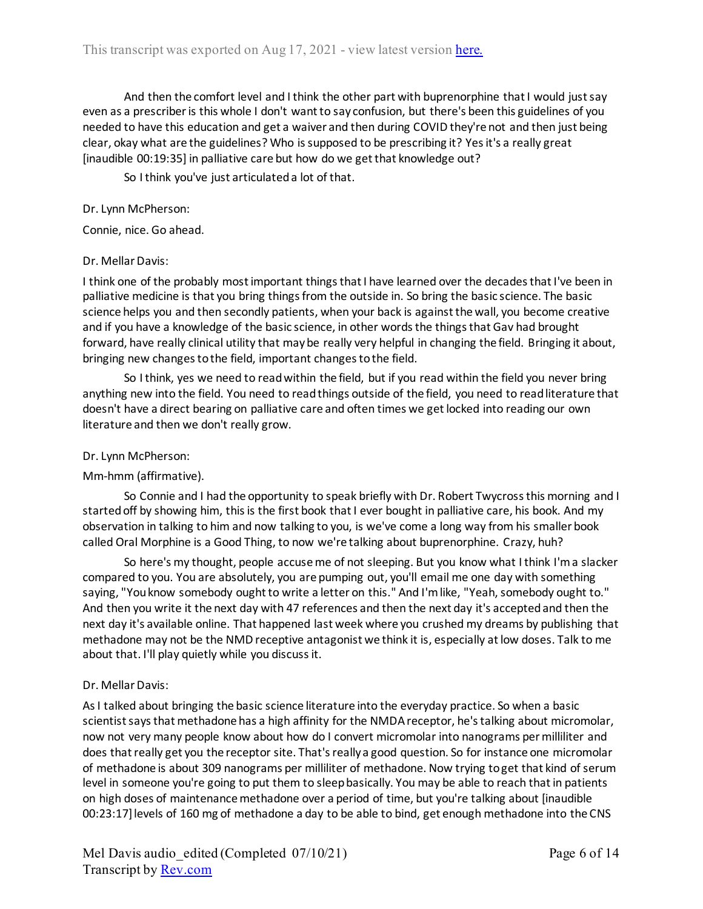And then the comfort level and I think the other part with buprenorphine that I would just say even as a prescriber is this whole I don't want to say confusion, but there's been this guidelines of you needed to have this education and get a waiver and then during COVID they're not and then just being clear, okay what are the guidelines? Who is supposed to be prescribing it? Yes it's a really great [inaudible 00:19:35] in palliative care but how do we get that knowledge out?

So I think you've just articulated a lot of that.

## Dr. Lynn McPherson:

Connie, nice. Go ahead.

## Dr. Mellar Davis:

I think one of the probably most important things that I have learned over the decades that I've been in palliative medicine is that you bring things from the outside in. So bring the basic science. The basic science helps you and then secondly patients, when your back is against the wall, you become creative and if you have a knowledge of the basic science, in other words the things that Gav had brought forward, have really clinical utility that may be really very helpful in changing the field. Bringing it about, bringing new changes to the field, important changes to the field.

So I think, yes we need to read within the field, but if you read within the field you never bring anything new into the field. You need to read things outside of the field, you need to read literature that doesn't have a direct bearing on palliative care and often times we get locked into reading our own literature and then we don't really grow.

## Dr. Lynn McPherson:

## Mm-hmm (affirmative).

So Connie and I had the opportunity to speak briefly with Dr. Robert Twycross this morning and I started off by showing him, this is the first book that I ever bought in palliative care, his book. And my observation in talking to him and now talking to you, is we've come a long way from his smaller book called Oral Morphine is a Good Thing, to now we're talking about buprenorphine. Crazy, huh?

So here's my thought, people accuse me of not sleeping. But you know what I think I'm a slacker compared to you. You are absolutely, you are pumping out, you'll email me one day with something saying, "You know somebody ought to write a letter on this." And I'm like, "Yeah, somebody ought to." And then you write it the next day with 47 references and then the next day it's accepted and then the next day it's available online. That happened last week where you crushed my dreams by publishing that methadone may not be the NMD receptive antagonist we think it is, especially at low doses. Talk to me about that. I'll play quietly while you discuss it.

## Dr. Mellar Davis:

As I talked about bringing the basic science literature into the everyday practice. So when a basic scientist says that methadone has a high affinity for the NMDA receptor, he's talking about micromolar, now not very many people know about how do I convert micromolar into nanograms per milliliter and does that really get you the receptor site. That's really a good question. So for instance one micromolar of methadone is about 309 nanograms per milliliter of methadone. Now trying to get that kind of serum level in someone you're going to put them to sleep basically. You may be able to reach that in patients on high doses of maintenance methadone over a period of time, but you're talking about [inaudible 00:23:17] levels of 160 mg of methadone a day to be able to bind, get enough methadone into the CNS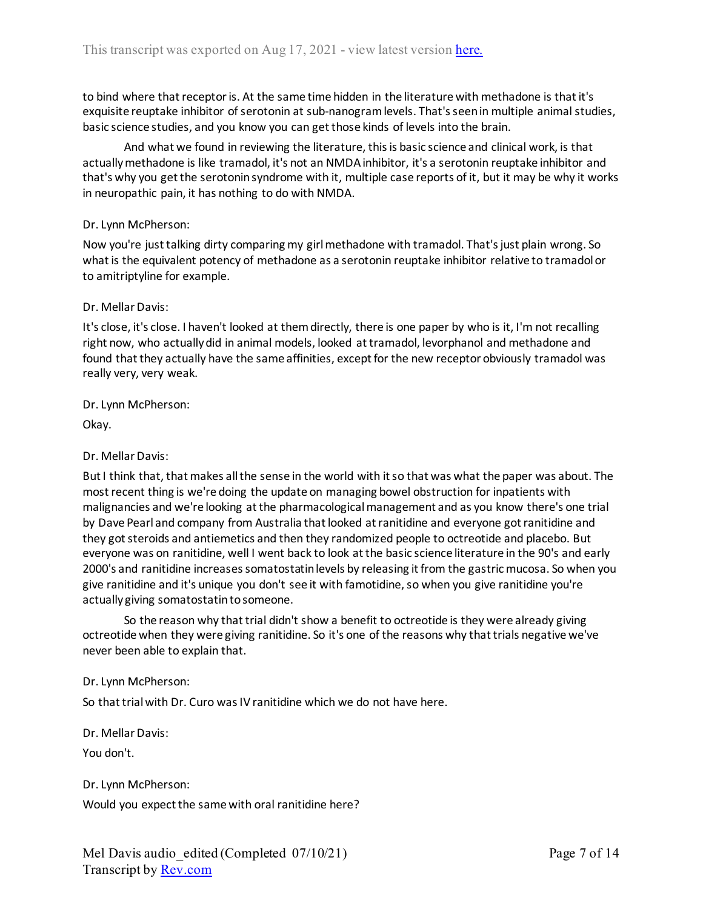to bind where that receptor is. At the same time hidden in the literature with methadone is that it's exquisite reuptake inhibitor of serotonin at sub-nanogram levels. That's seen in multiple animal studies, basic science studies, and you know you can get those kinds of levels into the brain.

And what we found in reviewing the literature, this is basic science and clinical work, is that actually methadone is like tramadol, it's not an NMDA inhibitor, it's a serotonin reuptake inhibitor and that's why you get the serotonin syndrome with it, multiple case reports of it, but it may be why it works in neuropathic pain, it has nothing to do with NMDA.

## Dr. Lynn McPherson:

Now you're just talking dirty comparing my girl methadone with tramadol. That's just plain wrong. So what is the equivalent potency of methadone as a serotonin reuptake inhibitor relative to tramadol or to amitriptyline for example.

## Dr. Mellar Davis:

It's close, it's close. I haven't looked at them directly, there is one paper by who is it, I'm not recalling right now, who actually did in animal models, looked at tramadol, levorphanol and methadone and found that they actually have the same affinities, except for the new receptor obviously tramadol was really very, very weak.

Dr. Lynn McPherson:

Okay.

## Dr. Mellar Davis:

But I think that, that makes all the sense in the world with it so that was what the paper was about. The most recent thing is we're doing the update on managing bowel obstruction for inpatients with malignancies and we're looking at the pharmacological management and as you know there's one trial by Dave Pearl and company from Australia that looked at ranitidine and everyone got ranitidine and they got steroids and antiemetics and then they randomized people to octreotide and placebo. But everyone was on ranitidine, well I went back to look at the basic science literature in the 90's and early 2000's and ranitidine increases somatostatin levels by releasing it from the gastric mucosa. So when you give ranitidine and it's unique you don't see it with famotidine, so when you give ranitidine you're actually giving somatostatin to someone.

So the reason why that trial didn't show a benefit to octreotide is they were already giving octreotide when they were giving ranitidine. So it's one of the reasons why that trials negative we've never been able to explain that.

## Dr. Lynn McPherson:

So that trial with Dr. Curo was IV ranitidine which we do not have here.

Dr. Mellar Davis:

You don't.

Dr. Lynn McPherson:

Would you expect the same with oral ranitidine here?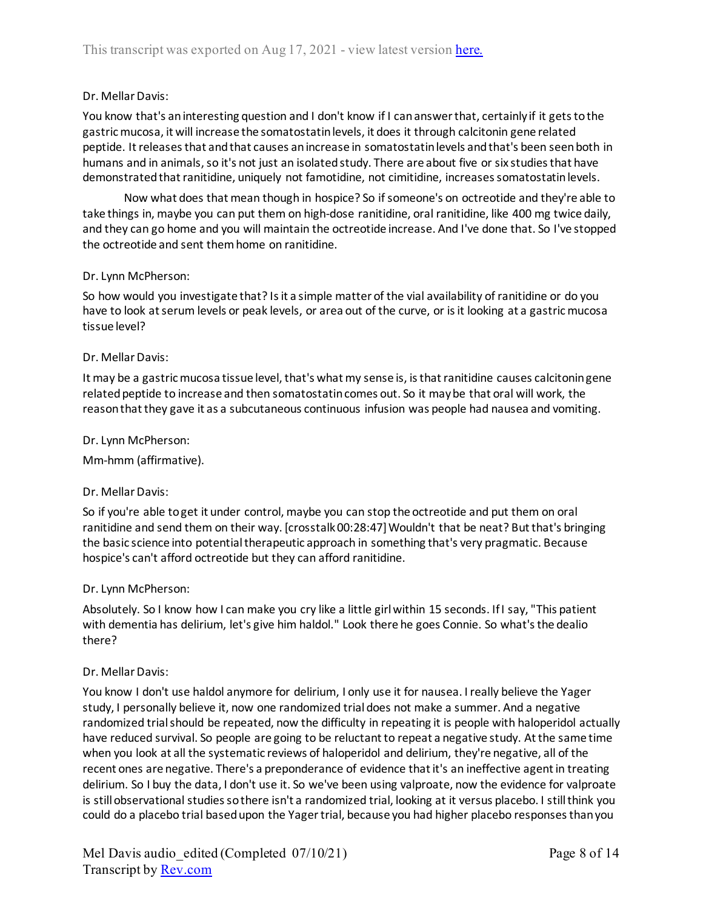## Dr. Mellar Davis:

You know that's an interesting question and I don't know if I can answer that, certainly if it gets to the gastric mucosa, it will increase the somatostatin levels, it does it through calcitonin gene related peptide. It releases that and that causes an increase in somatostatin levels and that's been seen both in humans and in animals, so it's not just an isolated study. There are about five or six studies that have demonstrated that ranitidine, uniquely not famotidine, not cimitidine, increases somatostatin levels.

Now what does that mean though in hospice? So if someone's on octreotide and they're able to take things in, maybe you can put them on high-dose ranitidine, oral ranitidine, like 400 mg twice daily, and they can go home and you will maintain the octreotide increase. And I've done that. So I've stopped the octreotide and sent them home on ranitidine.

## Dr. Lynn McPherson:

So how would you investigate that? Is it a simple matter of the vial availability of ranitidine or do you have to look at serum levels or peak levels, or area out of the curve, or is it looking at a gastric mucosa tissue level?

## Dr. Mellar Davis:

It may be a gastric mucosa tissue level, that's what my sense is, is that ranitidine causes calcitonin gene related peptide to increase and then somatostatin comes out. So it may be that oral will work, the reason that they gave it as a subcutaneous continuous infusion was people had nausea and vomiting.

#### Dr. Lynn McPherson:

Mm-hmm (affirmative).

## Dr. Mellar Davis:

So if you're able to get it under control, maybe you can stop the octreotide and put them on oral ranitidine and send them on their way. [crosstalk 00:28:47] Wouldn't that be neat? But that's bringing the basic science into potential therapeutic approach in something that's very pragmatic. Because hospice's can't afford octreotide but they can afford ranitidine.

#### Dr. Lynn McPherson:

Absolutely. So I know how I can make you cry like a little girl within 15 seconds. If I say, "This patient with dementia has delirium, let's give him haldol." Look there he goes Connie. So what's the dealio there?

## Dr. Mellar Davis:

You know I don't use haldol anymore for delirium, I only use it for nausea. I really believe the Yager study, I personally believe it, now one randomized trial does not make a summer. And a negative randomized trial should be repeated, now the difficulty in repeating it is people with haloperidol actually have reduced survival. So people are going to be reluctant to repeat a negative study. At the same time when you look at all the systematic reviews of haloperidol and delirium, they're negative, all of the recent ones are negative. There's a preponderance of evidence that it's an ineffective agent in treating delirium. So I buy the data, I don't use it. So we've been using valproate, now the evidence for valproate is still observational studies so there isn't a randomized trial, looking at it versus placebo. I still think you could do a placebo trial based upon the Yager trial, because you had higher placebo responses than you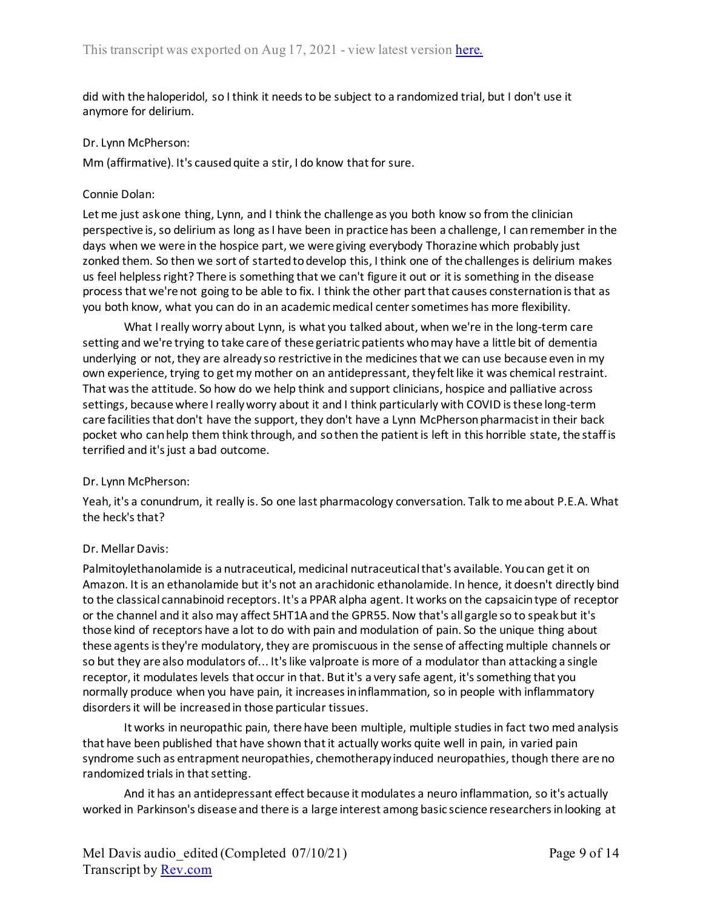did with the haloperidol, so I think it needs to be subject to a randomized trial, but I don't use it anymore for delirium.

#### Dr. Lynn McPherson:

Mm (affirmative). It's caused quite a stir, I do know that for sure.

### Connie Dolan:

Let me just ask one thing, Lynn, and I think the challenge as you both know so from the clinician perspective is, so delirium as long as I have been in practice has been a challenge, I can remember in the days when we were in the hospice part, we were giving everybody Thorazine which probably just zonked them. So then we sort of started to develop this, I think one of the challenges is delirium makes us feel helpless right? There is something that we can't figure it out or it is something in the disease process that we're not going to be able to fix. I think the other part that causes consternation is that as you both know, what you can do in an academic medical center sometimes has more flexibility.

What I really worry about Lynn, is what you talked about, when we're in the long-term care setting and we're trying to take care of these geriatric patients who may have a little bit of dementia underlying or not, they are already so restrictive in the medicines that we can use because even in my own experience, trying to get my mother on an antidepressant, they felt like it was chemical restraint. That was the attitude. So how do we help think and support clinicians, hospice and palliative across settings, because where I really worry about it and I think particularly with COVID is these long-term care facilities that don't have the support, they don't have a Lynn McPherson pharmacist in their back pocket who can help them think through, and so then the patient is left in this horrible state, the staff is terrified and it's just a bad outcome.

## Dr. Lynn McPherson:

Yeah, it's a conundrum, it really is. So one last pharmacology conversation. Talk to me about P.E.A. What the heck's that?

## Dr. Mellar Davis:

Palmitoylethanolamide is a nutraceutical, medicinal nutraceutical that's available. You can get it on Amazon. It is an ethanolamide but it's not an arachidonic ethanolamide. In hence, it doesn't directly bind to the classical cannabinoid receptors. It's a PPAR alpha agent. It works on the capsaicin type of receptor or the channel and it also may affect 5HT1A and the GPR55. Now that's all gargle so to speak but it's those kind of receptors have a lot to do with pain and modulation of pain. So the unique thing about these agents is they're modulatory, they are promiscuous in the sense of affecting multiple channels or so but they are also modulators of... It's like valproate is more of a modulator than attacking a single receptor, it modulates levels that occur in that. But it's a very safe agent, it's something that you normally produce when you have pain, it increases in inflammation, so in people with inflammatory disorders it will be increased in those particular tissues.

It works in neuropathic pain, there have been multiple, multiple studies in fact two med analysis that have been published that have shown that it actually works quite well in pain, in varied pain syndrome such as entrapment neuropathies, chemotherapy induced neuropathies, though there are no randomized trials in that setting.

And it has an antidepressant effect because it modulates a neuro inflammation, so it's actually worked in Parkinson's disease and there is a large interest among basic science researchers in looking at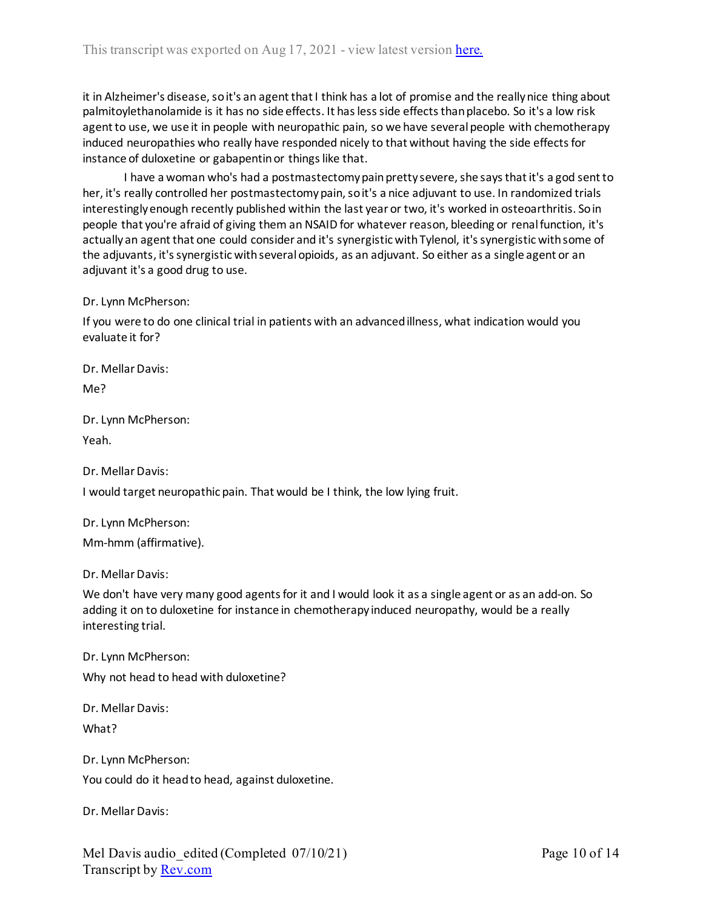it in Alzheimer's disease, so it's an agent that I think has a lot of promise and the really nice thing about palmitoylethanolamide is it has no side effects. It has less side effects than placebo. So it's a low risk agent to use, we use it in people with neuropathic pain, so we have several people with chemotherapy induced neuropathies who really have responded nicely to that without having the side effects for instance of duloxetine or gabapentin or things like that.

I have a woman who's had a postmastectomy pain pretty severe, she says that it's a god sent to her, it's really controlled her postmastectomy pain, so it's a nice adjuvant to use. In randomized trials interestingly enough recently published within the last year or two, it's worked in osteoarthritis. So in people that you're afraid of giving them an NSAID for whatever reason, bleeding or renal function, it's actually an agent that one could consider and it's synergistic with Tylenol, it's synergistic with some of the adjuvants, it's synergistic with several opioids, as an adjuvant. So either as a single agent or an adjuvant it's a good drug to use.

Dr. Lynn McPherson:

If you were to do one clinical trial in patients with an advanced illness, what indication would you evaluate it for?

Dr. Mellar Davis:

Me?

Dr. Lynn McPherson: Yeah.

Dr. Mellar Davis:

I would target neuropathic pain. That would be I think, the low lying fruit.

Dr. Lynn McPherson:

Mm-hmm (affirmative).

Dr. Mellar Davis:

We don't have very many good agents for it and I would look it as a single agent or as an add-on. So adding it on to duloxetine for instance in chemotherapy induced neuropathy, would be a really interesting trial.

Dr. Lynn McPherson: Why not head to head with duloxetine?

Dr. Mellar Davis: What?

Dr. Lynn McPherson:

You could do it head to head, against duloxetine.

Dr. Mellar Davis:

Mel Davis audio edited (Completed 07/10/21) Transcript b[y Rev.com](https://www.rev.com/)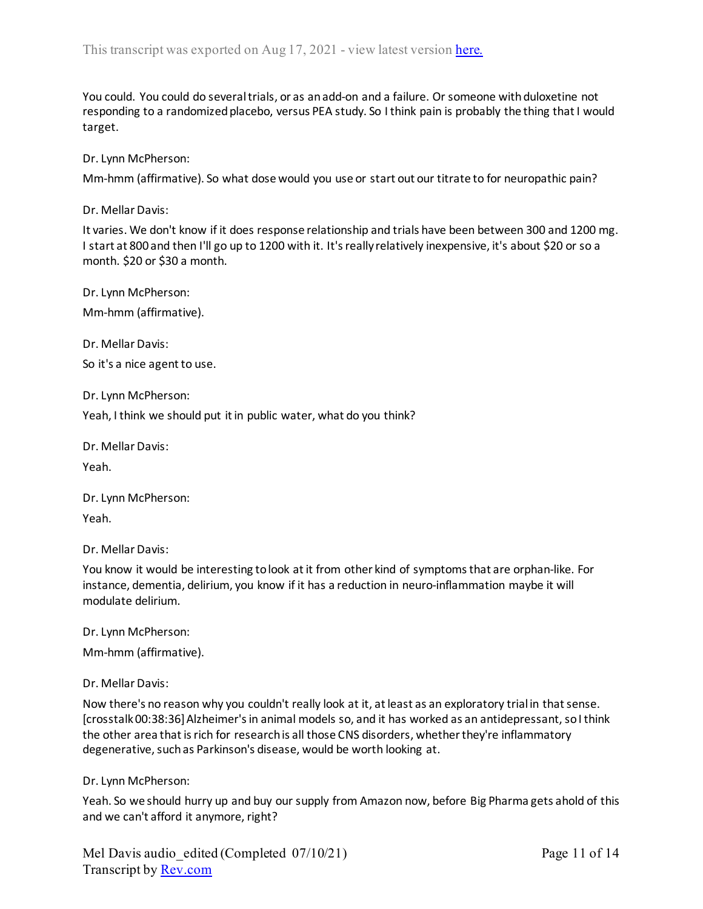You could. You could do several trials, or as an add-on and a failure. Or someone with duloxetine not responding to a randomized placebo, versus PEA study. So I think pain is probably the thing that I would target.

Dr. Lynn McPherson:

Mm-hmm (affirmative). So what dose would you use or start out our titrate to for neuropathic pain?

Dr. Mellar Davis:

It varies. We don't know if it does response relationship and trials have been between 300 and 1200 mg. I start at 800 and then I'll go up to 1200 with it. It's really relatively inexpensive, it's about \$20 or so a month. \$20 or \$30 a month.

Dr. Lynn McPherson: Mm-hmm (affirmative).

Dr. Mellar Davis:

So it's a nice agent to use.

Dr. Lynn McPherson:

Yeah, I think we should put it in public water, what do you think?

Dr. Mellar Davis: Yeah.

Dr. Lynn McPherson: Yeah.

Dr. Mellar Davis:

You know it would be interesting to look at it from other kind of symptoms that are orphan-like. For instance, dementia, delirium, you know if it has a reduction in neuro-inflammation maybe it will modulate delirium.

Dr. Lynn McPherson:

Mm-hmm (affirmative).

Dr. Mellar Davis:

Now there's no reason why you couldn't really look at it, at least as an exploratory trial in that sense. [crosstalk 00:38:36] Alzheimer's in animal models so, and it has worked as an antidepressant, so I think the other area that is rich for research is all those CNS disorders, whether they're inflammatory degenerative, such as Parkinson's disease, would be worth looking at.

Dr. Lynn McPherson:

Yeah. So we should hurry up and buy our supply from Amazon now, before Big Pharma gets ahold of this and we can't afford it anymore, right?

Mel Davis audio edited (Completed 07/10/21) Transcript b[y Rev.com](https://www.rev.com/)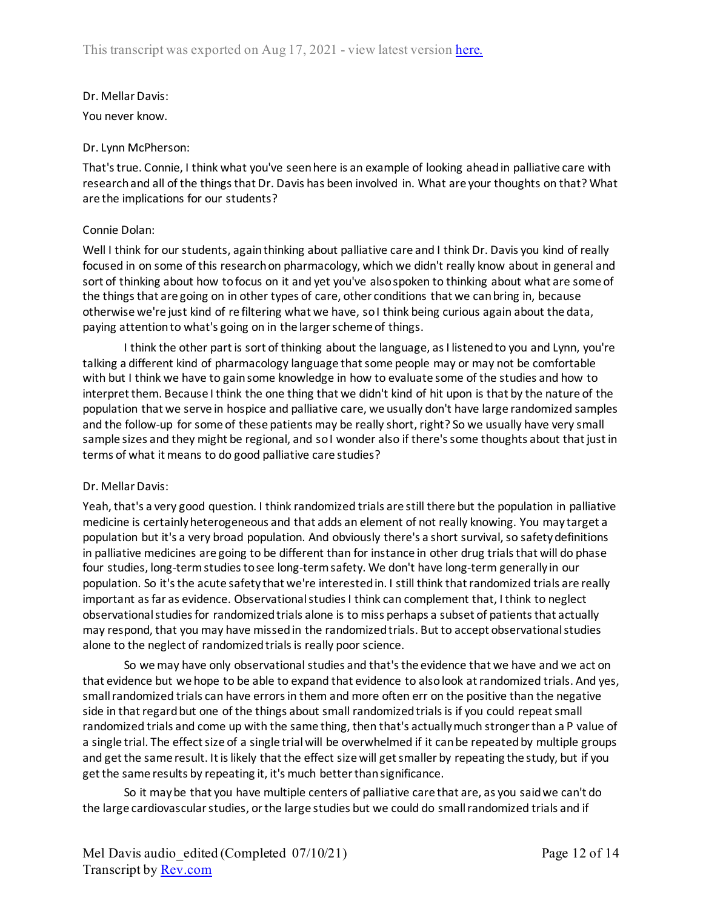# Dr. Mellar Davis:

You never know.

# Dr. Lynn McPherson:

That's true. Connie, I think what you've seen here is an example of looking ahead in palliative care with research and all of the things that Dr. Davis has been involved in. What are your thoughts on that? What are the implications for our students?

# Connie Dolan:

Well I think for our students, again thinking about palliative care and I think Dr. Davis you kind of really focused in on some of this research on pharmacology, which we didn't really know about in general and sort of thinking about how to focus on it and yet you've also spoken to thinking about what are some of the things that are going on in other types of care, other conditions that we can bring in, because otherwise we're just kind of re filtering what we have, so I think being curious again about the data, paying attention to what's going on in the larger scheme of things.

I think the other part is sort of thinking about the language, as I listened to you and Lynn, you're talking a different kind of pharmacology language that some people may or may not be comfortable with but I think we have to gain some knowledge in how to evaluate some of the studies and how to interpret them. Because I think the one thing that we didn't kind of hit upon is that by the nature of the population that we serve in hospice and palliative care, we usually don't have large randomized samples and the follow-up for some of these patients may be really short, right? So we usually have very small sample sizes and they might be regional, and so I wonder also if there's some thoughts about that just in terms of what it means to do good palliative care studies?

# Dr. Mellar Davis:

Yeah, that's a very good question. I think randomized trials are still there but the population in palliative medicine is certainly heterogeneous and that adds an element of not really knowing. You may target a population but it's a very broad population. And obviously there's a short survival, so safety definitions in palliative medicines are going to be different than for instance in other drug trials that will do phase four studies, long-term studies to see long-term safety. We don't have long-term generally in our population. So it's the acute safety that we're interested in. I still think that randomized trials are really important as far as evidence. Observational studies I think can complement that, I think to neglect observational studies for randomized trials alone is to miss perhaps a subset of patients that actually may respond, that you may have missed in the randomized trials. But to accept observational studies alone to the neglect of randomized trials is really poor science.

So we may have only observational studies and that's the evidence that we have and we act on that evidence but we hope to be able to expand that evidence to also look at randomized trials. And yes, small randomized trials can have errors in them and more often err on the positive than the negative side in that regard but one of the things about small randomized trials is if you could repeat small randomized trials and come up with the same thing, then that's actually much stronger than a P value of a single trial. The effect size of a single trial will be overwhelmed if it can be repeated by multiple groups and get the same result. It is likely that the effect size will get smaller by repeating the study, but if you get the same results by repeating it, it's much better than significance.

So it may be that you have multiple centers of palliative care that are, as you said we can't do the large cardiovascular studies, or the large studies but we could do small randomized trials and if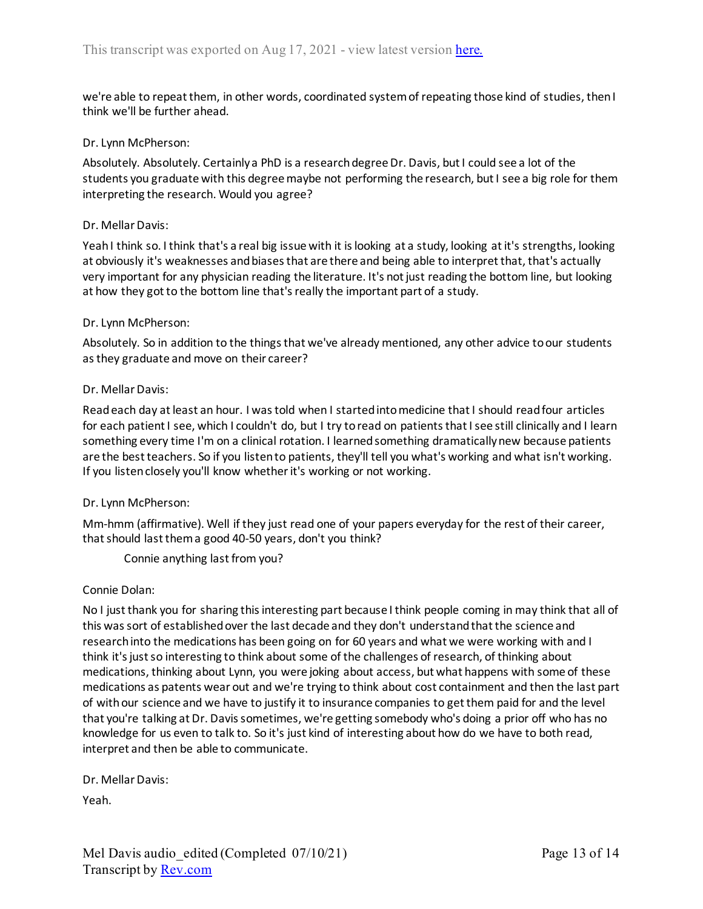we're able to repeat them, in other words, coordinated system of repeating those kind of studies, then I think we'll be further ahead.

### Dr. Lynn McPherson:

Absolutely. Absolutely. Certainly a PhD is a research degree Dr. Davis, but I could see a lot of the students you graduate with this degree maybe not performing the research, but I see a big role for them interpreting the research. Would you agree?

#### Dr. Mellar Davis:

Yeah I think so. I think that's a real big issue with it is looking at a study, looking at it's strengths, looking at obviously it's weaknesses and biases that are there and being able to interpret that, that's actually very important for any physician reading the literature. It's not just reading the bottom line, but looking at how they got to the bottom line that's really the important part of a study.

#### Dr. Lynn McPherson:

Absolutely. So in addition to the things that we've already mentioned, any other advice to our students as they graduate and move on their career?

#### Dr. Mellar Davis:

Read each day at least an hour. I was told when I started into medicine that I should read four articles for each patient I see, which I couldn't do, but I try to read on patients that I see still clinically and I learn something every time I'm on a clinical rotation. I learned something dramatically new because patients are the best teachers. So if you listen to patients, they'll tell you what's working and what isn't working. If you listen closely you'll know whether it's working or not working.

#### Dr. Lynn McPherson:

Mm-hmm (affirmative). Well if they just read one of your papers everyday for the rest of their career, that should last them a good 40-50 years, don't you think?

Connie anything last from you?

## Connie Dolan:

No I just thank you for sharing this interesting part because I think people coming in may think that all of this was sort of established over the last decade and they don't understand that the science and research into the medications has been going on for 60 years and what we were working with and I think it's just so interesting to think about some of the challenges of research, of thinking about medications, thinking about Lynn, you were joking about access, but what happens with some of these medications as patents wear out and we're trying to think about cost containment and then the last part of with our science and we have to justify it to insurance companies to get them paid for and the level that you're talking at Dr. Davis sometimes, we're getting somebody who's doing a prior off who has no knowledge for us even to talk to. So it's just kind of interesting about how do we have to both read, interpret and then be able to communicate.

Dr. Mellar Davis:

Yeah.